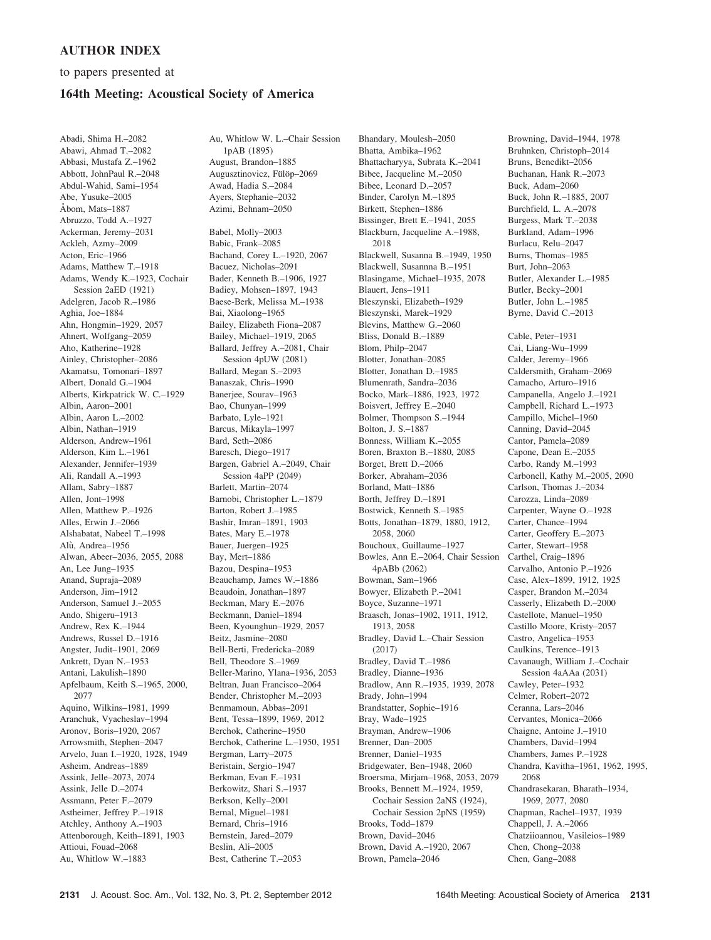## AUTHOR INDEX

to papers presented at

## 164th Meeting: Acoustical Society of America

Abadi, Shima H.–2082 Abawi, Ahmad T.–2082 Abbasi, Mustafa Z.–1962 Abbott, JohnPaul R.–2048 Abdul-Wahid, Sami–1954 Abe, Yusuke–2005 Åbom, Mats–1887 Abruzzo, Todd A.–1927 Ackerman, Jeremy–2031 Ackleh, Azmy–2009 Acton, Eric–1966 Adams, Matthew T.–1918 Adams, Wendy K.–1923, Cochair Session 2aED (1921) Adelgren, Jacob R.–1986 Aghia, Joe–1884 Ahn, Hongmin–1929, 2057 Ahnert, Wolfgang–2059 Aho, Katherine–1928 Ainley, Christopher–2086 Akamatsu, Tomonari–1897 Albert, Donald G.–1904 Alberts, Kirkpatrick W. C.–1929 Albin, Aaron–2001 Albin, Aaron L.–2002 Albin, Nathan–1919 Alderson, Andrew–1961 Alderson, Kim L.–1961 Alexander, Jennifer–1939 Ali, Randall A.–1993 Allam, Sabry–1887 Allen, Jont–1998 Allen, Matthew P.–1926 Alles, Erwin J.–2066 Alshabatat, Nabeel T.–1998 Alù, Andrea-1956 Alwan, Abeer–2036, 2055, 2088 An, Lee Jung–1935 Anand, Supraja–2089 Anderson, Jim–1912 Anderson, Samuel J.–2055 Ando, Shigeru–1913 Andrew, Rex K.–1944 Andrews, Russel D.–1916 Angster, Judit–1901, 2069 Ankrett, Dyan N.–1953 Antani, Lakulish–1890 Apfelbaum, Keith S.–1965, 2000, 2077 Aquino, Wilkins–1981, 1999 Aranchuk, Vyacheslav–1994 Aronov, Boris–1920, 2067 Arrowsmith, Stephen–2047 Arvelo, Juan I.–1920, 1928, 1949 Asheim, Andreas–1889 Assink, Jelle–2073, 2074 Assink, Jelle D.–2074 Assmann, Peter F.–2079 Astheimer, Jeffrey P.–1918 Atchley, Anthony A.–1903 Attenborough, Keith–1891, 1903 Attioui, Fouad–2068 Au, Whitlow W.–1883

Au, Whitlow W. L.–Chair Session 1pAB (1895) August, Brandon–1885 Augusztinovicz, Fülöp-2069 Awad, Hadia S.–2084 Ayers, Stephanie–2032 Azimi, Behnam–2050

Babel, Molly–2003 Babic, Frank–2085 Bachand, Corey L.–1920, 2067 Bacuez, Nicholas–2091 Bader, Kenneth B.–1906, 1927 Badiey, Mohsen–1897, 1943 Baese-Berk, Melissa M.–1938 Bai, Xiaolong–1965 Bailey, Elizabeth Fiona–2087 Bailey, Michael–1919, 2065 Ballard, Jeffrey A.–2081, Chair Session 4pUW (2081) Ballard, Megan S.–2093 Banaszak, Chris–1990 Banerjee, Sourav–1963 Bao, Chunyan–1999 Barbato, Lyle–1921 Barcus, Mikayla–1997 Bard, Seth–2086 Baresch, Diego–1917 Bargen, Gabriel A.–2049, Chair Session 4aPP (2049) Barlett, Martin–2074 Barnobi, Christopher L.–1879 Barton, Robert J.–1985 Bashir, Imran–1891, 1903 Bates, Mary E.–1978 Bauer, Juergen–1925 Bay, Mert–1886 Bazou, Despina–1953 Beauchamp, James W.–1886 Beaudoin, Jonathan–1897 Beckman, Mary E.–2076 Beckmann, Daniel–1894 Been, Kyounghun–1929, 2057 Beitz, Jasmine–2080 Bell-Berti, Fredericka–2089 Bell, Theodore S.–1969 Beller-Marino, Ylana–1936, 2053 Beltran, Juan Francisco–2064 Bender, Christopher M.–2093 Benmamoun, Abbas–2091 Bent, Tessa–1899, 1969, 2012 Berchok, Catherine–1950 Berchok, Catherine L.–1950, 1951 Bergman, Larry–2075 Beristain, Sergio–1947 Berkman, Evan F.–1931 Berkowitz, Shari S.–1937 Berkson, Kelly–2001 Bernal, Miguel–1981 Bernard, Chris–1916 Bernstein, Jared–2079 Beslin, Ali–2005 Best, Catherine T.–2053

Bhandary, Moulesh–2050 Bhatta, Ambika–1962 Bhattacharyya, Subrata K.–2041 Bibee, Jacqueline M.–2050 Bibee, Leonard D.–2057 Binder, Carolyn M.–1895 Birkett, Stephen–1886 Bissinger, Brett E.–1941, 2055 Blackburn, Jacqueline A.–1988, 2018 Blackwell, Susanna B.–1949, 1950 Blackwell, Susannna B.–1951 Blasingame, Michael–1935, 2078 Blauert, Jens–1911 Bleszynski, Elizabeth–1929 Bleszynski, Marek–1929 Blevins, Matthew G.–2060 Bliss, Donald B.–1889 Blom, Philp–2047 Blotter, Jonathan–2085 Blotter, Jonathan D.–1985 Blumenrath, Sandra–2036 Bocko, Mark–1886, 1923, 1972 Boisvert, Jeffrey E.–2040 Bolmer, Thompson S.–1944 Bolton, J. S.–1887 Bonness, William K.–2055 Boren, Braxton B.–1880, 2085 Borget, Brett D.–2066 Borker, Abraham–2036 Borland, Matt–1886 Borth, Jeffrey D.–1891 Bostwick, Kenneth S.–1985 Botts, Jonathan–1879, 1880, 1912, 2058, 2060 Bouchoux, Guillaume–1927 Bowles, Ann E.–2064, Chair Session 4pABb (2062) Bowman, Sam–1966 Bowyer, Elizabeth P.–2041 Boyce, Suzanne–1971 Braasch, Jonas–1902, 1911, 1912, 1913, 2058 Bradley, David L.–Chair Session (2017) Bradley, David T.–1986 Bradley, Dianne–1936 Bradlow, Ann R.–1935, 1939, 2078 Brady, John–1994 Brandstatter, Sophie–1916 Bray, Wade–1925 Brayman, Andrew–1906 Brenner, Dan–2005 Brenner, Daniel–1935 Bridgewater, Ben–1948, 2060 Broersma, Mirjam–1968, 2053, 2079 Brooks, Bennett M.–1924, 1959, Cochair Session 2aNS (1924), Cochair Session 2pNS (1959) Brooks, Todd–1879 Brown, David–2046 Brown, David A.–1920, 2067 Brown, Pamela–2046

Bruhnken, Christoph–2014 Bruns, Benedikt–2056 Buchanan, Hank R.–2073 Buck, Adam–2060 Buck, John R.–1885, 2007 Burchfield, L. A.–2078 Burgess, Mark T.–2038 Burkland, Adam–1996 Burlacu, Relu–2047 Burns, Thomas–1985 Burt, John–2063 Butler, Alexander L.–1985 Butler, Becky–2001 Butler, John L.–1985 Byrne, David C.–2013 Cable, Peter–1931 Cai, Liang-Wu–1999 Calder, Jeremy–1966 Caldersmith, Graham–2069 Camacho, Arturo–1916 Campanella, Angelo J.–1921 Campbell, Richard L.–1973 Campillo, Michel–1960 Canning, David–2045 Cantor, Pamela–2089 Capone, Dean E.–2055 Carbo, Randy M.–1993 Carbonell, Kathy M.–2005, 2090 Carlson, Thomas J.–2034 Carozza, Linda–2089 Carpenter, Wayne O.–1928 Carter, Chance–1994 Carter, Geoffery E.–2073 Carter, Stewart–1958 Carthel, Craig–1896 Carvalho, Antonio P.–1926 Case, Alex–1899, 1912, 1925 Casper, Brandon M.–2034 Casserly, Elizabeth D.–2000 Castellote, Manuel–1950 Castillo Moore, Kristy–2057 Castro, Angelica–1953 Caulkins, Terence–1913 Cavanaugh, William J.–Cochair Session 4aAAa (2031) Cawley, Peter–1932 Celmer, Robert–2072 Ceranna, Lars–2046 Cervantes, Monica–2066 Chaigne, Antoine J.–1910 Chambers, David–1994 Chambers, James P.–1928 Chandra, Kavitha–1961, 1962, 1995, 2068 Chandrasekaran, Bharath–1934, 1969, 2077, 2080 Chapman, Rachel–1937, 1939 Chappell, J. A.–2066 Chatziioannou, Vasileios–1989 Chen, Chong–2038 Chen, Gang–2088

Browning, David–1944, 1978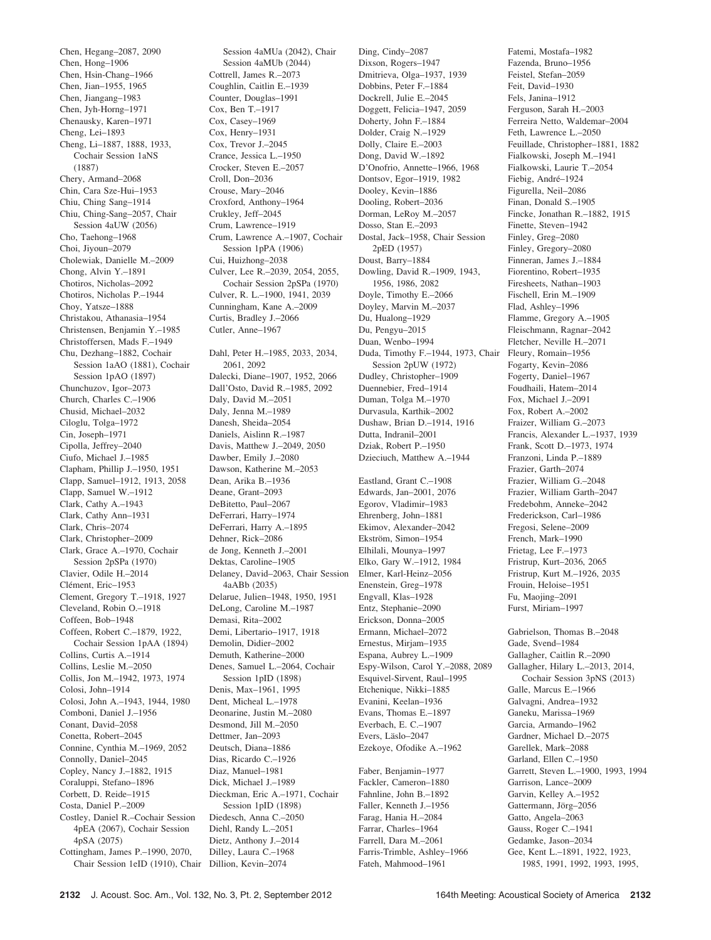Chen, Hegang–2087, 2090 Chen, Hong–1906 Chen, Hsin-Chang–1966 Chen, Jian–1955, 1965 Chen, Jiangang–1983 Chen, Jyh-Horng–1971 Chenausky, Karen–1971 Cheng, Lei–1893 Cheng, Li–1887, 1888, 1933, Cochair Session 1aNS (1887) Chery, Armand–2068 Chin, Cara Sze-Hui–1953 Chiu, Ching Sang–1914 Chiu, Ching-Sang–2057, Chair Session 4aUW (2056) Cho, Taehong–1968 Choi, Jiyoun–2079 Cholewiak, Danielle M.–2009 Chong, Alvin Y.–1891 Chotiros, Nicholas–2092 Chotiros, Nicholas P.–1944 Choy, Yatsze–1888 Christakou, Athanasia–1954 Christensen, Benjamin Y.–1985 Christoffersen, Mads F.–1949 Chu, Dezhang–1882, Cochair Session 1aAO (1881), Cochair Session 1pAO (1897) Chunchuzov, Igor–2073 Church, Charles C.–1906 Chusid, Michael–2032 Ciloglu, Tolga–1972 Cin, Joseph–1971 Cipolla, Jeffrey–2040 Ciufo, Michael J.–1985 Clapham, Phillip J.–1950, 1951 Clapp, Samuel–1912, 1913, 2058 Clapp, Samuel W.–1912 Clark, Cathy A.–1943 Clark, Cathy Ann–1931 Clark, Chris–2074 Clark, Christopher–2009 Clark, Grace A.–1970, Cochair Session 2pSPa (1970) Clavier, Odile H.–2014 Clément, Eric-1953 Clement, Gregory T.–1918, 1927 Cleveland, Robin O.–1918 Coffeen, Bob–1948 Coffeen, Robert C.–1879, 1922, Cochair Session 1pAA (1894) Collins, Curtis A.–1914 Collins, Leslie M.–2050 Collis, Jon M.–1942, 1973, 1974 Colosi, John–1914 Colosi, John A.–1943, 1944, 1980 Comboni, Daniel J.–1956 Conant, David–2058 Conetta, Robert–2045 Connine, Cynthia M.–1969, 2052 Connolly, Daniel–2045 Copley, Nancy J.–1882, 1915 Coraluppi, Stefano–1896 Corbett, D. Reide–1915 Costa, Daniel P.–2009 Costley, Daniel R.–Cochair Session 4pEA (2067), Cochair Session 4pSA (2075) Cottingham, James P.–1990, 2070, Chair Session 1eID (1910), Chair Dillion, Kevin–2074

Session 4aMUa (2042), Chair Session 4aMUb (2044) Cottrell, James R.–2073 Coughlin, Caitlin E.–1939 Counter, Douglas–1991 Cox, Ben T.–1917 Cox, Casey–1969 Cox, Henry–1931 Cox, Trevor J.–2045 Crance, Jessica L.–1950 Crocker, Steven E.–2057 Croll, Don–2036 Crouse, Mary–2046 Croxford, Anthony–1964 Crukley, Jeff–2045 Crum, Lawrence–1919 Crum, Lawrence A.–1907, Cochair Session 1pPA (1906) Cui, Huizhong–2038 Culver, Lee R.–2039, 2054, 2055, Cochair Session 2pSPa (1970) Culver, R. L.–1900, 1941, 2039 Cunningham, Kane A.–2009 Curtis, Bradley J.–2066 Cutler, Anne–1967 Dahl, Peter H.–1985, 2033, 2034, 2061, 2092 Dalecki, Diane–1907, 1952, 2066 Dall'Osto, David R.–1985, 2092 Daly, David M.–2051

Daly, Jenna M.–1989 Danesh, Sheida–2054 Daniels, Aislinn R.–1987 Davis, Matthew J.–2049, 2050 Dawber, Emily J.–2080 Dawson, Katherine M.–2053 Dean, Arika B.–1936 Deane, Grant–2093 DeBitetto, Paul–2067 DeFerrari, Harry–1974 DeFerrari, Harry A.–1895 Dehner, Rick–2086 de Jong, Kenneth J.–2001 Dektas, Caroline–1905 Delaney, David–2063, Chair Session 4aABb (2035) Delarue, Julien–1948, 1950, 1951 DeLong, Caroline M.–1987 Demasi, Rita–2002 Demi, Libertario–1917, 1918 Demolin, Didier–2002 Demuth, Katherine–2000 Denes, Samuel L.–2064, Cochair Session 1pID (1898) Denis, Max–1961, 1995 Dent, Micheal L.–1978 Deonarine, Justin M.–2080 Desmond, Jill M.–2050 Dettmer, Jan–2093 Deutsch, Diana–1886 Dias, Ricardo C.–1926 Diaz, Manuel–1981 Dick, Michael J.–1989 Dieckman, Eric A.–1971, Cochair Session 1pID (1898) Diedesch, Anna C.–2050 Diehl, Randy L.–2051 Dietz, Anthony J.–2014 Dilley, Laura C.–1968

Ding, Cindy–2087 Dixson, Rogers–1947 Dmitrieva, Olga–1937, 1939 Dobbins, Peter F.–1884 Dockrell, Julie E.–2045 Doggett, Felicia–1947, 2059 Doherty, John F.–1884 Dolder, Craig N.–1929 Dolly, Claire E.–2003 Dong, David W.–1892 D'Onofrio, Annette–1966, 1968 Dontsov, Egor–1919, 1982 Dooley, Kevin–1886 Dooling, Robert–2036 Dorman, LeRoy M.–2057 Dosso, Stan E.–2093 Dostal, Jack–1958, Chair Session 2pED (1957) Doust, Barry–1884 Dowling, David R.–1909, 1943, 1956, 1986, 2082 Doyle, Timothy E.–2066 Doyley, Marvin M.–2037 Du, Hualong–1929 Du, Pengyu–2015 Duan, Wenbo–1994 Duda, Timothy F.–1944, 1973, Chair Fleury, Romain–1956 Session 2pUW (1972) Dudley, Christopher–1909 Duennebier, Fred–1914 Duman, Tolga M.–1970 Durvasula, Karthik–2002 Dushaw, Brian D.–1914, 1916 Dutta, Indranil–2001 Dziak, Robert P-1950 Dzieciuch, Matthew A.–1944 Eastland, Grant C.–1908

Edwards, Jan–2001, 2076 Egorov, Vladimir–1983 Ehrenberg, John–1881 Ekimov, Alexander–2042 Ekström, Simon-1954 Elhilali, Mounya–1997 Elko, Gary W.–1912, 1984 Elmer, Karl-Heinz–2056 Enenstein, Greg–1978 Engvall, Klas–1928 Entz, Stephanie–2090 Erickson, Donna–2005 Ermann, Michael–2072 Ernestus, Mirjam–1935 Espana, Aubrey L.–1909 Espy-Wilson, Carol Y.–2088, 2089 Esquivel-Sirvent, Raul–1995 Etchenique, Nikki–1885 Evanini, Keelan–1936 Evans, Thomas E.–1897 Everbach, E. C.–1907 Evers, Läslo-2047 Ezekoye, Ofodike A.–1962

Faber, Benjamin–1977 Fackler, Cameron–1880 Fahnline, John B.–1892 Faller, Kenneth J.–1956 Farag, Hania H.–2084 Farrar, Charles–1964 Farrell, Dara M.–2061 Farris-Trimble, Ashley–1966 Fateh, Mahmood–1961

Fatemi, Mostafa–1982 Fazenda, Bruno–1956 Feistel, Stefan–2059 Feit, David–1930 Fels, Janina–1912 Ferguson, Sarah H.–2003 Ferreira Netto, Waldemar–2004 Feth, Lawrence L.–2050 Feuillade, Christopher–1881, 1882 Fialkowski, Joseph M.–1941 Fialkowski, Laurie T.–2054 Fiebig, André-1924 Figurella, Neil–2086 Finan, Donald S.–1905 Fincke, Jonathan R.–1882, 1915 Finette, Steven–1942 Finley, Greg–2080 Finley, Gregory–2080 Finneran, James J.–1884 Fiorentino, Robert–1935 Firesheets, Nathan–1903 Fischell, Erin M.–1909 Flad, Ashley–1996 Flamme, Gregory A.–1905 Fleischmann, Ragnar–2042 Fletcher, Neville H.–2071 Fogarty, Kevin–2086 Fogerty, Daniel–1967 Foudhaili, Hatem–2014 Fox, Michael J.–2091 Fox, Robert A.–2002 Fraizer, William G.–2073 Francis, Alexander L.–1937, 1939 Frank, Scott D.–1973, 1974 Franzoni, Linda P.–1889 Frazier, Garth–2074 Frazier, William G.–2048 Frazier, William Garth–2047 Fredebohm, Anneke–2042 Frederickson, Carl–1986 Fregosi, Selene–2009 French, Mark–1990 Frietag, Lee F.–1973 Fristrup, Kurt–2036, 2065 Fristrup, Kurt M.–1926, 2035 Frouin, Heloise–1951 Fu, Maojing–2091 Furst, Miriam–1997

Gabrielson, Thomas B.–2048 Gade, Svend–1984 Gallagher, Caitlin R.–2090 Gallagher, Hilary L.–2013, 2014, Cochair Session 3pNS (2013) Galle, Marcus E.–1966 Galvagni, Andrea–1932 Ganeku, Marissa–1969 Garcia, Armando–1962 Gardner, Michael D.–2075 Garellek, Mark–2088 Garland, Ellen C.–1950 Garrett, Steven L.–1900, 1993, 1994 Garrison, Lance–2009 Garvin, Kelley A.–1952 Gattermann, Jörg-2056 Gatto, Angela–2063 Gauss, Roger C.–1941 Gedamke, Jason–2034 Gee, Kent L.–1891, 1922, 1923, 1985, 1991, 1992, 1993, 1995,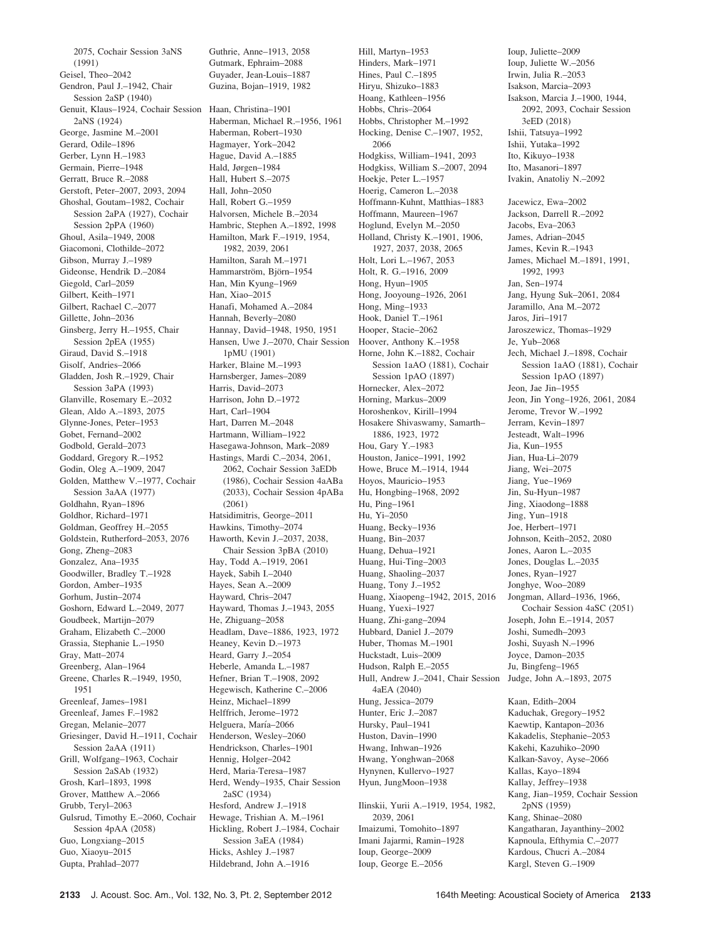2075, Cochair Session 3aNS (1991) Geisel, Theo–2042 Gendron, Paul J.–1942, Chair Session 2aSP (1940) Genuit, Klaus–1924, Cochair Session Haan, Christina–1901 2aNS (1924) George, Jasmine M.–2001 Gerard, Odile–1896 Gerber, Lynn H.–1983 Germain, Pierre–1948 Gerratt, Bruce R.–2088 Gerstoft, Peter–2007, 2093, 2094 Ghoshal, Goutam–1982, Cochair Session 2aPA (1927), Cochair Session 2pPA (1960) Ghoul, Asila–1949, 2008 Giacomoni, Clothilde–2072 Gibson, Murray J.–1989 Gideonse, Hendrik D.–2084 Giegold, Carl–2059 Gilbert, Keith–1971 Gilbert, Rachael C.–2077 Gillette, John–2036 Ginsberg, Jerry H.–1955, Chair Session 2pEA (1955) Giraud, David S.–1918 Gisolf, Andries–2066 Gladden, Josh R.–1929, Chair Session 3aPA (1993) Glanville, Rosemary E.–2032 Glean, Aldo A.–1893, 2075 Glynne-Jones, Peter–1953 Gobet, Fernand–2002 Godbold, Gerald–2073 Goddard, Gregory R.–1952 Godin, Oleg A.–1909, 2047 Golden, Matthew V.–1977, Cochair Session 3aAA (1977) Goldhahn, Ryan–1896 Goldhor, Richard–1971 Goldman, Geoffrey H.–2055 Goldstein, Rutherford–2053, 2076 Gong, Zheng–2083 Gonzalez, Ana–1935 Goodwiller, Bradley T.–1928 Gordon, Amber–1935 Gorhum, Justin–2074 Goshorn, Edward L.–2049, 2077 Goudbeek, Martijn–2079 Graham, Elizabeth C.–2000 Grassia, Stephanie L.–1950 Gray, Matt–2074 Greenberg, Alan–1964 Greene, Charles R.–1949, 1950, 1951 Greenleaf, James–1981 Greenleaf, James F.–1982 Gregan, Melanie–2077 Griesinger, David H.–1911, Cochair Session 2aAA (1911) Grill, Wolfgang–1963, Cochair Session 2aSAb (1932) Grosh, Karl–1893, 1998 Grover, Matthew A.–2066 Grubb, Teryl–2063 Gulsrud, Timothy E.–2060, Cochair Session 4pAA (2058) Guo, Longxiang–2015 Guo, Xiaoyu–2015 Gupta, Prahlad–2077

Guthrie, Anne–1913, 2058 Gutmark, Ephraim–2088 Guyader, Jean-Louis–1887 Guzina, Bojan–1919, 1982

Haberman, Michael R.–1956, 1961 Haberman, Robert–1930 Hagmayer, York–2042 Hague, David A.–1885 Hald, Jørgen–1984 Hall, Hubert S.–2075 Hall, John–2050 Hall, Robert G.–1959 Halvorsen, Michele B.–2034 Hambric, Stephen A.–1892, 1998 Hamilton, Mark F.–1919, 1954, 1982, 2039, 2061 Hamilton, Sarah M.–1971 Hammarström, Björn-1954 Han, Min Kyung–1969 Han, Xiao–2015 Hanafi, Mohamed A.–2084 Hannah, Beverly–2080 Hannay, David–1948, 1950, 1951 Hansen, Uwe J.–2070, Chair Session 1pMU (1901) Harker, Blaine M.–1993 Harnsberger, James–2089 Harris, David–2073 Harrison, John D.–1972 Hart, Carl–1904 Hart, Darren M.–2048 Hartmann, William–1922 Hasegawa-Johnson, Mark–2089 Hastings, Mardi C.–2034, 2061, 2062, Cochair Session 3aEDb (1986), Cochair Session 4aABa (2033), Cochair Session 4pABa (2061) Hatsidimitris, George–2011 Hawkins, Timothy–2074 Haworth, Kevin J.–2037, 2038, Chair Session 3pBA (2010) Hay, Todd A.–1919, 2061 Hayek, Sabih I.–2040 Hayes, Sean A.–2009 Hayward, Chris–2047 Hayward, Thomas J.–1943, 2055 He, Zhiguang–2058 Headlam, Dave–1886, 1923, 1972 Heaney, Kevin D.–1973 Heard, Garry J.–2054 Heberle, Amanda L.–1987 Hefner, Brian T.–1908, 2092 Hegewisch, Katherine C.–2006 Heinz, Michael–1899 Helffrich, Jerome–1972 Helguera, María–2066 Henderson, Wesley–2060 Hendrickson, Charles–1901 Hennig, Holger–2042 Herd, Maria-Teresa–1987 Herd, Wendy–1935, Chair Session 2aSC (1934) Hesford, Andrew J.–1918 Hewage, Trishian A. M.–1961 Hickling, Robert J.–1984, Cochair Session 3aEA (1984) Hicks, Ashley J.–1987 Hildebrand, John A.–1916

Hill, Martyn–1953 Hinders, Mark–1971 Hines, Paul C.–1895 Hiryu, Shizuko–1883 Hoang, Kathleen–1956 Hobbs, Chris–2064 Hobbs, Christopher M.–1992 Hocking, Denise C.–1907, 1952, 2066 Hodgkiss, William–1941, 2093 Hodgkiss, William S.–2007, 2094 Hoekje, Peter L.–1957 Hoerig, Cameron L.–2038 Hoffmann-Kuhnt, Matthias–1883 Hoffmann, Maureen–1967 Hoglund, Evelyn M.–2050 Holland, Christy K.–1901, 1906, 1927, 2037, 2038, 2065 Holt, Lori L.–1967, 2053 Holt, R. G.–1916, 2009 Hong, Hyun–1905 Hong, Jooyoung–1926, 2061 Hong, Ming–1933 Hook, Daniel T.–1961 Hooper, Stacie–2062 Hoover, Anthony K.–1958 Horne, John K.–1882, Cochair Session 1aAO (1881), Cochair Session 1pAO (1897) Hornecker, Alex–2072 Horning, Markus–2009 Horoshenkov, Kirill–1994 Hosakere Shivaswamy, Samarth– 1886, 1923, 1972 Hou, Gary Y.–1983 Houston, Janice–1991, 1992 Howe, Bruce M.–1914, 1944 Hoyos, Mauricio–1953 Hu, Hongbing–1968, 2092 Hu, Ping–1961 Hu, Yi–2050 Huang, Becky–1936 Huang, Bin–2037 Huang, Dehua–1921 Huang, Hui-Ting–2003 Huang, Shaoling–2037 Huang, Tony J.–1952 Huang, Xiaopeng–1942, 2015, 2016 Huang, Yuexi–1927 Huang, Zhi-gang–2094 Hubbard, Daniel J.–2079 Huber, Thomas M.–1901 Huckstadt, Luis–2009 Hudson, Ralph E.–2055 Hull, Andrew J.–2041, Chair Session Judge, John A.–1893, 2075 4aEA (2040) Hung, Jessica–2079 Hunter, Eric J.–2087 Hursky, Paul–1941 Huston, Davin–1990 Hwang, Inhwan–1926 Hwang, Yonghwan–2068 Hynynen, Kullervo–1927 Hyun, JungMoon–1938 Ilinskii, Yurii A.–1919, 1954, 1982, 2039, 2061 Imaizumi, Tomohito–1897 Imani Jajarmi, Ramin–1928 Ioup, George–2009

Ioup, George E.–2056

Ioup, Juliette–2009 Ioup, Juliette W.–2056 Irwin, Julia R.–2053 Isakson, Marcia–2093 Isakson, Marcia J.–1900, 1944, 2092, 2093, Cochair Session 3eED (2018) Ishii, Tatsuya–1992 Ishii, Yutaka–1992 Ito, Kikuyo–1938 Ito, Masanori–1897 Ivakin, Anatoliy N.–2092 Jacewicz, Ewa–2002 Jackson, Darrell R.–2092 Jacobs, Eva–2063 James, Adrian–2045 James, Kevin R.–1943 James, Michael M.–1891, 1991, 1992, 1993 Jan, Sen–1974 Jang, Hyung Suk–2061, 2084 Jaramillo, Ana M.–2072 Jaros, Jiri–1917 Jaroszewicz, Thomas–1929 Je, Yub–2068 Jech, Michael J.–1898, Cochair Session 1aAO (1881), Cochair Session 1pAO (1897) Jeon, Jae Jin–1955 Jeon, Jin Yong–1926, 2061, 2084 Jerome, Trevor W.–1992 Jerram, Kevin–1897 Jesteadt, Walt–1996 Jia, Kun–1955 Jian, Hua-Li–2079 Jiang, Wei–2075 Jiang, Yue–1969 Jin, Su-Hyun–1987 Jing, Xiaodong–1888 Jing, Yun–1918 Joe, Herbert–1971 Johnson, Keith–2052, 2080 Jones, Aaron L.–2035 Jones, Douglas L.–2035 Jones, Ryan–1927 Jonghye, Woo–2089 Jongman, Allard–1936, 1966, Cochair Session 4aSC (2051) Joseph, John E.–1914, 2057 Joshi, Sumedh–2093 Joshi, Suyash N.–1996 Joyce, Damon–2035 Ju, Bingfeng–1965 Kaan, Edith–2004 Kaduchak, Gregory–1952 Kaewtip, Kantapon–2036 Kakadelis, Stephanie–2053 Kakehi, Kazuhiko–2090 Kalkan-Savoy, Ayse–2066 Kallas, Kayo–1894 Kallay, Jeffrey–1938 Kang, Jian–1959, Cochair Session 2pNS (1959) Kang, Shinae–2080 Kangatharan, Jayanthiny–2002 Kapnoula, Efthymia C.–2077 Kardous, Chucri A.–2084

Kargl, Steven G.–1909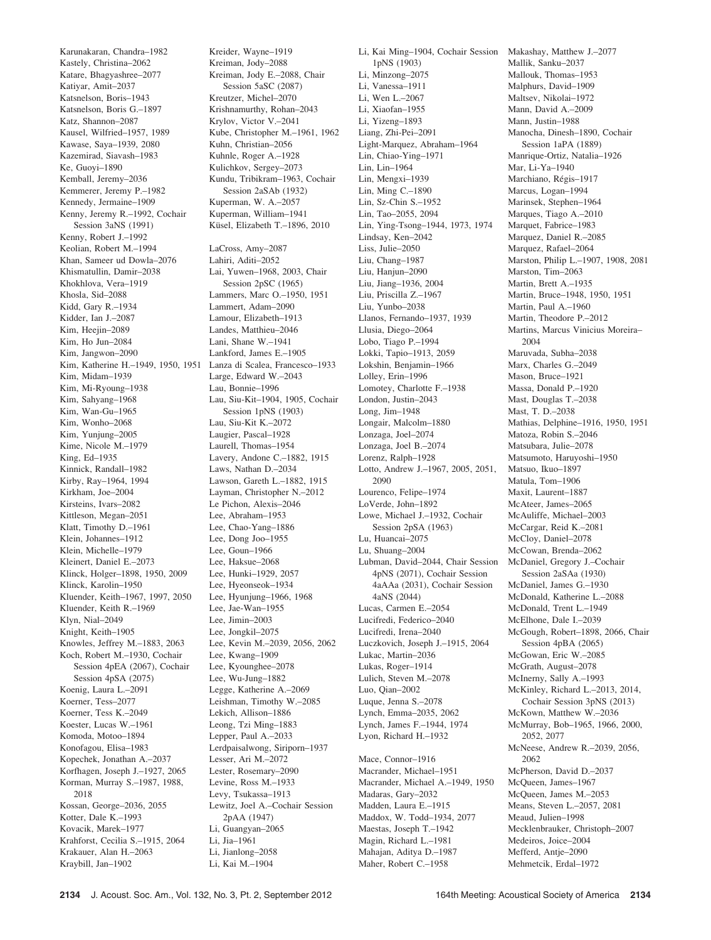Karunakaran, Chandra–1982 Kastely, Christina–2062 Katare, Bhagyashree–2077 Katiyar, Amit–2037 Katsnelson, Boris–1943 Katsnelson, Boris G.–1897 Katz, Shannon–2087 Kausel, Wilfried–1957, 1989 Kawase, Saya–1939, 2080 Kazemirad, Siavash–1983 Ke, Guoyi–1890 Kemball, Jeremy–2036 Kemmerer, Jeremy P.–1982 Kennedy, Jermaine–1909 Kenny, Jeremy R.–1992, Cochair Session 3aNS (1991) Kenny, Robert J.–1992 Keolian, Robert M-1994 Khan, Sameer ud Dowla–2076 Khismatullin, Damir–2038 Khokhlova, Vera–1919 Khosla, Sid–2088 Kidd, Gary R.–1934 Kidder, Ian J.–2087 Kim, Heejin–2089 Kim, Ho Jun–2084 Kim, Jangwon–2090 Kim, Katherine H.–1949, 1950, 1951 Lanza di Scalea, Francesco–1933 Kim, Midam–1939 Kim, Mi-Ryoung–1938 Kim, Sahyang–1968 Kim, Wan-Gu–1965 Kim, Wonho–2068 Kim, Yunjung–2005 Kime, Nicole M.–1979 King, Ed–1935 Kinnick, Randall–1982 Kirby, Ray–1964, 1994 Kirkham, Joe–2004 Kirsteins, Ivars–2082 Kittleson, Megan–2051 Klatt, Timothy D.–1961 Klein, Johannes–1912 Klein, Michelle–1979 Kleinert, Daniel E.–2073 Klinck, Holger–1898, 1950, 2009 Klinck, Karolin–1950 Kluender, Keith–1967, 1997, 2050 Kluender, Keith R.–1969 Klyn, Nial–2049 Knight, Keith–1905 Knowles, Jeffrey M.–1883, 2063 Koch, Robert M.–1930, Cochair Session 4pEA (2067), Cochair Session 4pSA (2075) Koenig, Laura L.–2091 Koerner, Tess–2077 Koerner, Tess K.–2049 Koester, Lucas W.–1961 Komoda, Motoo–1894 Konofagou, Elisa–1983 Kopechek, Jonathan A.–2037 Korfhagen, Joseph J.–1927, 2065 Korman, Murray S.–1987, 1988, 2018 Kossan, George–2036, 2055 Kotter, Dale K.–1993 Kovacik, Marek–1977 Krahforst, Cecilia S.–1915, 2064 Krakauer, Alan H.–2063 Kraybill, Jan–1902

Kreiman, Jody–2088 Kreiman, Jody E.–2088, Chair Session 5aSC (2087) Kreutzer, Michel–2070 Krishnamurthy, Rohan–2043 Krylov, Victor V.–2041 Kube, Christopher M.–1961, 1962 Kuhn, Christian–2056 Kuhnle, Roger A.–1928 Kulichkov, Sergey–2073 Kundu, Tribikram–1963, Cochair Session 2aSAb (1932) Kuperman, W. A.–2057 Kuperman, William–1941 Küsel, Elizabeth T.-1896, 2010 LaCross, Amy–2087 Lahiri, Aditi–2052 Lai, Yuwen–1968, 2003, Chair Session 2pSC (1965) Lammers, Marc O.–1950, 1951 Lammert, Adam–2090 Lamour, Elizabeth–1913 Landes, Matthieu–2046 Lani, Shane W.–1941 Lankford, James E.–1905 Large, Edward W.–2043 Lau, Bonnie–1996 Lau, Siu-Kit–1904, 1905, Cochair Session 1pNS (1903) Lau, Siu-Kit K.–2072 Laugier, Pascal–1928 Laurell, Thomas–1954 Lavery, Andone C.–1882, 1915 Laws, Nathan D.–2034 Lawson, Gareth L.–1882, 1915 Layman, Christopher N.–2012 Le Pichon, Alexis–2046 Lee, Abraham–1953 Lee, Chao-Yang–1886 Lee, Dong Joo–1955 Lee, Goun–1966 Lee, Haksue–2068 Lee, Hunki–1929, 2057 Lee, Hyeonseok–1934 Lee, Hyunjung–1966, 1968 Lee, Jae-Wan–1955 Lee, Jimin–2003 Lee, Jongkil–2075 Lee, Kevin M.–2039, 2056, 2062 Lee, Kwang–1909 Lee, Kyounghee–2078 Lee, Wu-Jung–1882 Legge, Katherine A.–2069 Leishman, Timothy W.–2085 Lekich, Allison–1886 Leong, Tzi Ming–1883 Lepper, Paul A.–2033 Lerdpaisalwong, Siriporn–1937 Lesser, Ari M.–2072 Lester, Rosemary–2090 Levine, Ross M.–1933 Levy, Tsukassa–1913 Lewitz, Joel A.–Cochair Session 2pAA (1947) Li, Guangyan–2065 Li, Jia–1961 Li, Jianlong–2058 Li, Kai M.–1904

Kreider, Wayne–1919

Li, Kai Ming–1904, Cochair Session Makashay, Matthew J.–2077 1pNS (1903) Li, Minzong–2075 Li, Vanessa–1911 Li, Wen L.–2067 Li, Xiaofan–1955 Li, Yizeng–1893 Liang, Zhi-Pei–2091 Light-Marquez, Abraham–1964 Lin, Chiao-Ying–1971 Lin, Lin–1964 Lin, Mengxi–1939 Lin, Ming C.–1890 Lin, Sz-Chin S.–1952 Lin, Tao–2055, 2094 Lin, Ying-Tsong–1944, 1973, 1974 Lindsay, Ken–2042 Liss, Julie–2050 Liu, Chang–1987 Liu, Hanjun–2090 Liu, Jiang–1936, 2004 Liu, Priscilla Z.–1967 Liu, Yunbo–2038 Llanos, Fernando–1937, 1939 Llusia, Diego–2064 Lobo, Tiago P.–1994 Lokki, Tapio–1913, 2059 Lokshin, Benjamin–1966 Lolley, Erin–1996 Lomotey, Charlotte F.–1938 London, Justin–2043 Long, Jim–1948 Longair, Malcolm–1880 Lonzaga, Joel–2074 Lonzaga, Joel B.–2074 Lorenz, Ralph–1928 Lotto, Andrew J.–1967, 2005, 2051, 2090 Lourenco, Felipe–1974 LoVerde, John–1892 Lowe, Michael J.–1932, Cochair Session 2pSA (1963) Lu, Huancai–2075 Lu, Shuang–2004 Lubman, David–2044, Chair Session 4pNS (2071), Cochair Session 4aAAa (2031), Cochair Session 4aNS (2044) Lucas, Carmen E.–2054 Lucifredi, Federico–2040 Lucifredi, Irena–2040 Luczkovich, Joseph J.–1915, 2064 Lukac, Martin–2036 Lukas, Roger–1914 Lulich, Steven M.–2078 Luo, Qian–2002 Luque, Jenna S.–2078 Lynch, Emma–2035, 2062 Lynch, James F.–1944, 1974 Lyon, Richard H.–1932 Mace, Connor–1916 Macrander, Michael–1951 Macrander, Michael A.–1949, 1950 Madaras, Gary–2032 Madden, Laura E.–1915 Maddox, W. Todd–1934, 2077 Maestas, Joseph T.–1942 Magin, Richard L.–1981

Mahajan, Aditya D.–1987 Maher, Robert C.–1958

Mallik, Sanku–2037 Mallouk, Thomas–1953 Malphurs, David–1909 Maltsev, Nikolai–1972 Mann, David A.–2009 Mann, Justin–1988 Manocha, Dinesh–1890, Cochair Session 1aPA (1889) Manrique-Ortiz, Natalia–1926 Mar, Li-Ya–1940 Marchiano, Régis-1917 Marcus, Logan–1994 Marinsek, Stephen–1964 Marques, Tiago A.–2010 Marquet, Fabrice–1983 Marquez, Daniel R.–2085 Marquez, Rafael–2064 Marston, Philip L.–1907, 1908, 2081 Marston, Tim–2063 Martin, Brett A.–1935 Martin, Bruce–1948, 1950, 1951 Martin, Paul A.–1960 Martin, Theodore P.–2012 Martins, Marcus Vinicius Moreira– 2004 Maruvada, Subha–2038 Marx, Charles G.–2049 Mason, Bruce–1921 Massa, Donald P.–1920 Mast, Douglas T.–2038 Mast, T. D.–2038 Mathias, Delphine–1916, 1950, 1951 Matoza, Robin S.–2046 Matsubara, Julie–2078 Matsumoto, Haruyoshi–1950 Matsuo, Ikuo–1897 Matula, Tom–1906 Maxit, Laurent–1887 McAteer, James–2065 McAuliffe, Michael–2003 McCargar, Reid K.–2081 McCloy, Daniel–2078 McCowan, Brenda–2062 McDaniel, Gregory J.–Cochair Session 2aSAa (1930) McDaniel, James G.–1930 McDonald, Katherine L.–2088 McDonald, Trent L.–1949 McElhone, Dale I.–2039 McGough, Robert–1898, 2066, Chair Session 4pBA (2065) McGowan, Eric W.–2085 McGrath, August–2078 McInerny, Sally A.–1993 McKinley, Richard L.–2013, 2014, Cochair Session 3pNS (2013) McKown, Matthew W.–2036 McMurray, Bob–1965, 1966, 2000, 2052, 2077 McNeese, Andrew R.–2039, 2056, 2062 McPherson, David D.–2037 McQueen, James–1967 McQueen, James M.–2053 Means, Steven L.–2057, 2081 Meaud, Julien–1998 Mecklenbrauker, Christoph–2007 Medeiros, Joice–2004 Mefferd, Antje–2090 Mehmetcik, Erdal–1972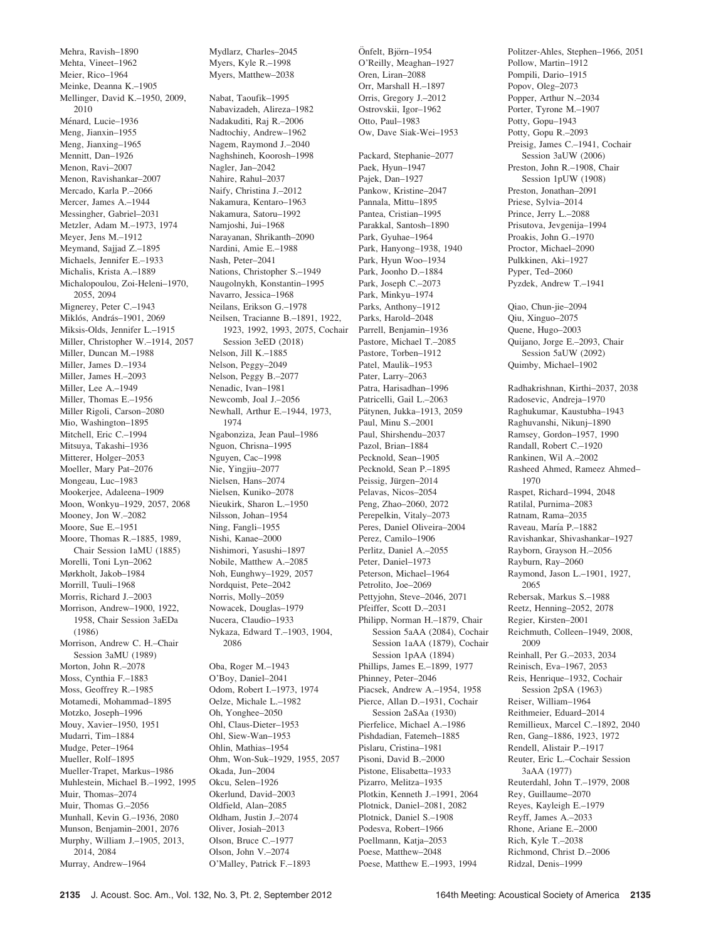Mehra, Ravish–1890 Mehta, Vineet–1962 Meier, Rico–1964 Meinke, Deanna K.–1905 Mellinger, David K.–1950, 2009, 2010 Ménard, Lucie-1936 Meng, Jianxin–1955 Meng, Jianxing–1965 Mennitt, Dan–1926 Menon, Ravi–2007 Menon, Ravishankar–2007 Mercado, Karla P.–2066 Mercer, James A.–1944 Messingher, Gabriel–2031 Metzler, Adam M.–1973, 1974 Meyer, Jens M.–1912 Meymand, Sajjad Z.–1895 Michaels, Jennifer E.–1933 Michalis, Krista A.–1889 Michalopoulou, Zoi-Heleni–1970, 2055, 2094 Mignerey, Peter C.–1943 Miklós, András-1901, 2069 Miksis-Olds, Jennifer L.–1915 Miller, Christopher W.–1914, 2057 Miller, Duncan M.–1988 Miller, James D.–1934 Miller, James H.–2093 Miller, Lee A.–1949 Miller, Thomas E.–1956 Miller Rigoli, Carson–2080 Mio, Washington–1895 Mitchell, Eric C.–1994 Mitsuya, Takashi–1936 Mitterer, Holger–2053 Moeller, Mary Pat–2076 Mongeau, Luc–1983 Mookerjee, Adaleena–1909 Moon, Wonkyu–1929, 2057, 2068 Mooney, Jon W.–2082 Moore, Sue E.–1951 Moore, Thomas R.–1885, 1989, Chair Session 1aMU (1885) Morelli, Toni Lyn–2062 Mørkholt, Jakob–1984 Morrill, Tuuli–1968 Morris, Richard J.–2003 Morrison, Andrew–1900, 1922, 1958, Chair Session 3aEDa (1986) Morrison, Andrew C. H.–Chair Session 3aMU (1989) Morton, John R.–2078 Moss, Cynthia F.–1883 Moss, Geoffrey R.–1985 Motamedi, Mohammad–1895 Motzko, Joseph–1996 Mouy, Xavier–1950, 1951 Mudarri, Tim–1884 Mudge, Peter–1964 Mueller, Rolf–1895 Mueller-Trapet, Markus–1986 Muhlestein, Michael B.–1992, 1995 Muir, Thomas–2074 Muir, Thomas G.–2056 Munhall, Kevin G.–1936, 2080 Munson, Benjamin–2001, 2076 Murphy, William J.–1905, 2013, 2014, 2084 Murray, Andrew–1964

Mydlarz, Charles–2045 Myers, Kyle R.–1998 Myers, Matthew–2038

Nabat, Taoufik–1995 Nabavizadeh, Alireza–1982 Nadakuditi, Raj R.–2006 Nadtochiy, Andrew–1962 Nagem, Raymond J.–2040 Naghshineh, Koorosh–1998 Nagler, Jan–2042 Nahire, Rahul–2037 Naify, Christina J.–2012 Nakamura, Kentaro–1963 Nakamura, Satoru–1992 Namjoshi, Jui–1968 Narayanan, Shrikanth–2090 Nardini, Amie E.–1988 Nash, Peter–2041 Nations, Christopher S.–1949 Naugolnykh, Konstantin–1995 Navarro, Jessica–1968 Neilans, Erikson G.–1978 Neilsen, Tracianne B.–1891, 1922, 1923, 1992, 1993, 2075, Cochair Session 3eED (2018) Nelson, Jill K.–1885 Nelson, Peggy–2049 Nelson, Peggy B.–2077 Nenadic, Ivan–1981 Newcomb, Joal J.–2056 Newhall, Arthur E.–1944, 1973, 1974 Ngabonziza, Jean Paul–1986 Nguon, Chrisna–1995 Nguyen, Cac–1998 Nie, Yingjiu–2077 Nielsen, Hans–2074 Nielsen, Kuniko–2078 Nieukirk, Sharon L.–1950 Nilsson, Johan–1954 Ning, Fangli–1955 Nishi, Kanae–2000 Nishimori, Yasushi–1897 Nobile, Matthew A -2085 Noh, Eunghwy–1929, 2057 Nordquist, Pete–2042 Norris, Molly–2059 Nowacek, Douglas–1979 Nucera, Claudio–1933 Nykaza, Edward T.–1903, 1904, 2086 Oba, Roger M.–1943

O'Boy, Daniel–2041 Odom, Robert I.–1973, 1974 Oelze, Michale L.–1982 Oh, Yonghee–2050 Ohl, Claus-Dieter–1953 Ohl, Siew-Wan–1953 Ohlin, Mathias–1954 Ohm, Won-Suk–1929, 1955, 2057 Okada, Jun–2004 Okcu, Selen–1926 Okerlund, David–2003 Oldfield, Alan–2085 Oldham, Justin J.–2074 Oliver, Josiah–2013 Olson, Bruce C.–1977 Olson, John V.–2074 O'Malley, Patrick F.–1893

O'Reilly, Meaghan–1927 Oren, Liran–2088 Orr, Marshall H.–1897 Orris, Gregory J.–2012 Ostrovskii, Igor–1962 Otto, Paul–1983 Ow, Dave Siak-Wei–1953 Packard, Stephanie–2077 Paek, Hyun–1947 Pajek, Dan–1927 Pankow, Kristine–2047 Pannala, Mittu–1895 Pantea, Cristian–1995 Parakkal, Santosh–1890 Park, Gyuhae–1964 Park, Hanyong–1938, 1940 Park, Hyun Woo–1934 Park, Joonho D.–1884 Park, Joseph C.–2073 Park, Minkyu–1974 Parks, Anthony–1912 Parks, Harold–2048 Parrell, Benjamin–1936 Pastore, Michael T.–2085 Pastore, Torben–1912 Patel, Maulik–1953 Pater, Larry–2063 Patra, Harisadhan–1996 Patricelli, Gail L.–2063 Pätynen, Jukka–1913, 2059 Paul, Minu S.–2001 Paul, Shirshendu–2037 Pazol, Brian–1884 Pecknold, Sean–1905 Pecknold, Sean P.–1895 Peissig, Jürgen-2014 Pelavas, Nicos–2054 Peng, Zhao–2060, 2072 Perepelkin, Vitaly–2073 Peres, Daniel Oliveira–2004 Perez, Camilo–1906 Perlitz, Daniel A.–2055 Peter, Daniel–1973 Peterson, Michael–1964 Petrolito, Joe–2069 Pettyjohn, Steve–2046, 2071 Pfeiffer, Scott D.–2031 Philipp, Norman H.–1879, Chair Session 5aAA (2084), Cochair Session 1aAA (1879), Cochair Session 1pAA (1894) Phillips, James E.–1899, 1977 Phinney, Peter–2046 Piacsek, Andrew A.–1954, 1958 Pierce, Allan D.–1931, Cochair Session 2aSAa (1930) Pierfelice, Michael A.–1986 Pishdadian, Fatemeh–1885 Pislaru, Cristina–1981 Pisoni, David B.–2000 Pistone, Elisabetta–1933 Pizarro, Melitza–1935 Plotkin, Kenneth J.–1991, 2064 Plotnick, Daniel–2081, 2082 Plotnick, Daniel S.–1908 Podesva, Robert–1966 Poellmann, Katia–2053 Poese, Matthew–2048 Poese, Matthew E.–1993, 1994

Önfelt, Björn–1954

Politzer-Ahles, Stephen–1966, 2051 Pollow, Martin–1912 Pompili, Dario–1915 Popov, Oleg–2073 Popper, Arthur N.–2034 Porter, Tyrone M.–1907 Potty, Gopu–1943 Potty, Gopu R.–2093 Preisig, James C.–1941, Cochair Session 3aUW (2006) Preston, John R.–1908, Chair Session 1pUW (1908) Preston, Jonathan–2091 Priese, Sylvia–2014 Prince, Jerry L.–2088 Prisutova, Jevgenija–1994 Proakis, John G.–1970 Proctor, Michael–2090 Pulkkinen, Aki–1927 Pyper, Ted–2060 Pyzdek, Andrew T.–1941 Qiao, Chun-jie–2094 Qiu, Xinguo–2075 Quene, Hugo–2003 Quijano, Jorge E.–2093, Chair Session 5aUW (2092) Quimby, Michael–1902 Radhakrishnan, Kirthi–2037, 2038 Radosevic, Andreja–1970 Raghukumar, Kaustubha–1943 Raghuvanshi, Nikunj–1890 Ramsey, Gordon–1957, 1990 Randall, Robert C.–1920 Rankinen, Wil A.–2002 Rasheed Ahmed, Rameez Ahmed– 1970 Raspet, Richard–1994, 2048 Ratilal, Purnima–2083 Ratnam, Rama–2035 Raveau, María P.-1882 Ravishankar, Shivashankar–1927 Rayborn, Grayson H.–2056 Rayburn, Ray–2060 Raymond, Jason L.–1901, 1927, 2065 Rebersak, Markus S.–1988 Reetz, Henning–2052, 2078 Regier, Kirsten–2001 Reichmuth, Colleen–1949, 2008, 2009 Reinhall, Per G.–2033, 2034 Reinisch, Eva–1967, 2053 Reis, Henrique–1932, Cochair Session 2pSA (1963) Reiser, William–1964 Reithmeier, Eduard–2014 Remillieux, Marcel C.–1892, 2040 Ren, Gang–1886, 1923, 1972 Rendell, Alistair P.–1917 Reuter, Eric L.–Cochair Session 3aAA (1977) Reuterdahl, John T.–1979, 2008 Rey, Guillaume–2070 Reyes, Kayleigh E.–1979 Reyff, James A.–2033 Rhone, Ariane E.–2000 Rich, Kyle T.–2038 Richmond, Christ D.–2006 Ridzal, Denis–1999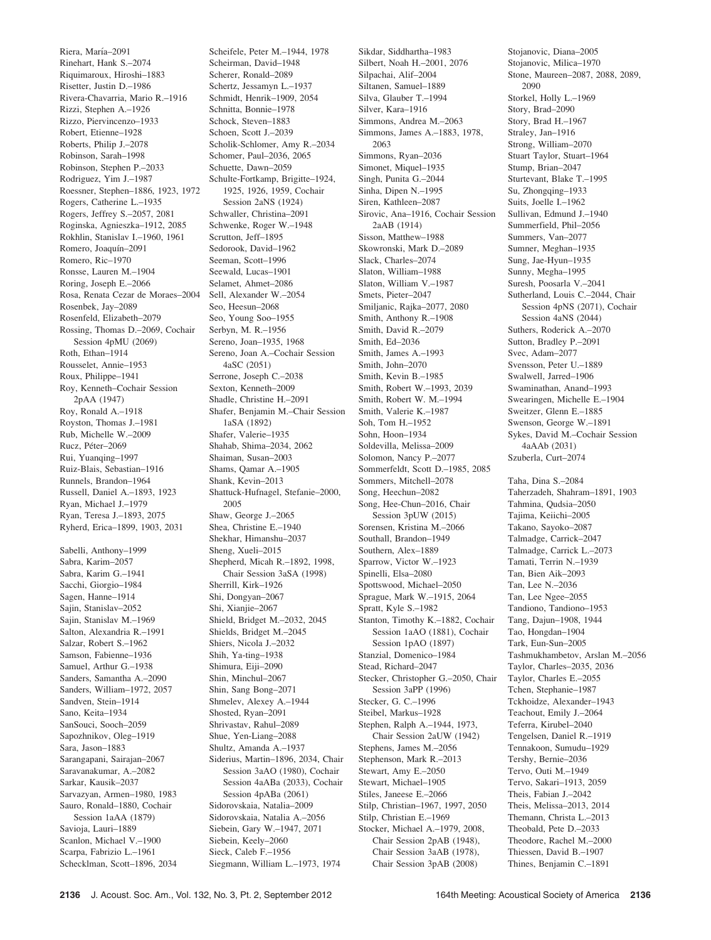Riera, María-2091 Rinehart, Hank S.–2074 Riquimaroux, Hiroshi–1883 Risetter, Justin D.–1986 Rivera-Chavarria, Mario R.–1916 Rizzi, Stephen A.–1926 Rizzo, Piervincenzo–1933 Robert, Etienne–1928 Roberts, Philip J.–2078 Robinson, Sarah–1998 Robinson, Stephen P.–2033 Rodriguez, Yim J.–1987 Roessner, Stephen–1886, 1923, 1972 Rogers, Catherine L.–1935 Rogers, Jeffrey S.–2057, 2081 Roginska, Agnieszka–1912, 2085 Rokhlin, Stanislav I.–1960, 1961 Romero, Joaquín–2091 Romero, Ric–1970 Ronsse, Lauren M.–1904 Roring, Joseph E.–2066 Rosa, Renata Cezar de Moraes–2004 Rosenbek, Jay–2089 Rosenfeld, Elizabeth–2079 Rossing, Thomas D.–2069, Cochair Session 4pMU (2069) Roth, Ethan–1914 Rousselet, Annie–1953 Roux, Philippe–1941 Roy, Kenneth–Cochair Session 2pAA (1947) Roy, Ronald A.–1918 Royston, Thomas J.–1981 Rub, Michelle W.–2009 Rucz, Péter-2069 Rui, Yuanqing–1997 Ruiz-Blais, Sebastian–1916 Runnels, Brandon–1964 Russell, Daniel A.–1893, 1923 Ryan, Michael J.–1979 Ryan, Teresa J.–1893, 2075 Ryherd, Erica–1899, 1903, 2031 Sabelli, Anthony–1999 Sabra, Karim–2057 Sabra, Karim G.–1941 Sacchi, Giorgio–1984

Sagen, Hanne–1914 Sajin, Stanislav–2052 Sajin, Stanislav M.–1969 Salton, Alexandria R.–1991 Salzar, Robert S.–1962 Samson, Fabienne–1936 Samuel, Arthur G.–1938 Sanders, Samantha A.–2090 Sanders, William–1972, 2057 Sandven, Stein–1914 Sano, Keita–1934 SanSouci, Sooch–2059 Sapozhnikov, Oleg–1919 Sara, Jason–1883 Sarangapani, Sairajan–2067 Saravanakumar, A.–2082 Sarkar, Kausik–2037 Sarvazyan, Armen–1980, 1983 Sauro, Ronald–1880, Cochair Session 1aAA (1879) Savioja, Lauri–1889 Scanlon, Michael V.–1900 Scarpa, Fabrizio L.–1961 Schecklman, Scott–1896, 2034 Scheirman, David–1948 Scherer, Ronald–2089 Schertz, Jessamyn L.–1937 Schmidt, Henrik–1909, 2054 Schnitta, Bonnie–1978 Schock, Steven–1883 Schoen, Scott J.–2039 Scholik-Schlomer, Amy R.–2034 Schomer, Paul–2036, 2065 Schuette, Dawn–2059 Schulte-Fortkamp, Brigitte–1924, 1925, 1926, 1959, Cochair Session 2aNS (1924) Schwaller, Christina–2091 Schwenke, Roger W.–1948 Scrutton, Jeff–1895 Sedorook, David–1962 Seeman, Scott–1996 Seewald, Lucas–1901 Selamet, Ahmet–2086 Sell, Alexander W.–2054 Seo, Heesun–2068 Seo, Young Soo–1955 Serbyn, M. R.–1956 Sereno, Joan–1935, 1968 Sereno, Joan A.–Cochair Session 4aSC (2051) Serrone, Joseph C.–2038 Sexton, Kenneth–2009 Shadle, Christine H.–2091 Shafer, Benjamin M.–Chair Session 1aSA (1892) Shafer, Valerie–1935 Shahab, Shima–2034, 2062 Shaiman, Susan–2003 Shams, Qamar A.–1905 Shank, Kevin–2013 Shattuck-Hufnagel, Stefanie–2000, 2005 Shaw, George J.–2065 Shea, Christine E.–1940 Shekhar, Himanshu–2037 Sheng, Xueli–2015 Shepherd, Micah R.–1892, 1998, Chair Session 3aSA (1998) Sherrill, Kirk–1926 Shi, Dongyan–2067 Shi, Xianjie–2067 Shield, Bridget M.–2032, 2045 Shields, Bridget M.–2045 Shiers, Nicola J.–2032 Shih, Ya-ting–1938 Shimura, Eiji–2090 Shin, Minchul–2067 Shin, Sang Bong–2071 Shmelev, Alexey A.–1944 Shosted, Ryan–2091 Shrivastav, Rahul–2089 Shue, Yen-Liang–2088 Shultz, Amanda A.–1937 Siderius, Martin–1896, 2034, Chair Session 3aAO (1980), Cochair Session 4aABa (2033), Cochair Session 4pABa (2061) Sidorovskaia, Natalia–2009 Sidorovskaia, Natalia A.–2056 Siebein, Gary W.–1947, 2071 Siebein, Keely–2060 Sieck, Caleb F.–1956 Siegmann, William L.–1973, 1974

Scheifele, Peter M.–1944, 1978

Sikdar, Siddhartha–1983 Silbert, Noah H.–2001, 2076 Silpachai, Alif–2004 Siltanen, Samuel–1889 Silva, Glauber T.–1994 Silver, Kara–1916 Simmons, Andrea M.–2063 Simmons, James A.–1883, 1978, 2063 Simmons, Ryan–2036 Simonet, Miquel–1935 Singh, Punita G.–2044 Sinha, Dipen N.–1995 Siren, Kathleen–2087 Sirovic, Ana–1916, Cochair Session 2aAB (1914) Sisson, Matthew–1988 Skowronski, Mark D-2089 Slack, Charles–2074 Slaton, William–1988 Slaton, William V.–1987 Smets, Pieter–2047 Smiljanic, Rajka–2077, 2080 Smith, Anthony R.–1908 Smith, David R.–2079 Smith, Ed–2036 Smith, James A.–1993 Smith, John–2070 Smith, Kevin B.–1985 Smith, Robert W.–1993, 2039 Smith, Robert W. M.–1994 Smith, Valerie K.–1987 Soh, Tom H.–1952 Sohn, Hoon–1934 Soldevilla, Melissa–2009 Solomon, Nancy P.–2077 Sommerfeldt, Scott D.–1985, 2085 Sommers, Mitchell–2078 Song, Heechun–2082 Song, Hee-Chun–2016, Chair Session 3pUW (2015) Sorensen, Kristina M.–2066 Southall, Brandon–1949 Southern, Alex–1889 Sparrow, Victor W.–1923 Spinelli, Elsa–2080 Spottswood, Michael–2050 Sprague, Mark W.–1915, 2064 Spratt, Kyle S.–1982 Stanton, Timothy K.–1882, Cochair Session 1aAO (1881), Cochair Session 1pAO (1897) Stanzial, Domenico–1984 Stead, Richard–2047 Stecker, Christopher G.–2050, Chair Session 3aPP (1996) Stecker, G. C.–1996 Steibel, Markus–1928 Stephen, Ralph A.–1944, 1973, Chair Session 2aUW (1942) Stephens, James M.–2056 Stephenson, Mark R.–2013 Stewart, Amy E.–2050 Stewart, Michael–1905 Stiles, Janeese E.–2066 Stilp, Christian–1967, 1997, 2050 Stilp, Christian E.–1969 Stocker, Michael A.–1979, 2008, Chair Session 2pAB (1948), Chair Session 3aAB (1978), Chair Session 3pAB (2008)

Stojanovic, Diana–2005 Stojanovic, Milica–1970 Stone, Maureen–2087, 2088, 2089, 2090 Storkel, Holly L.–1969 Story, Brad–2090 Story, Brad H.–1967 Straley, Jan–1916 Strong, William–2070 Stuart Taylor, Stuart–1964 Stump, Brian–2047 Sturtevant, Blake T.–1995 Su, Zhongqing–1933 Suits, Joelle I.–1962 Sullivan, Edmund J.–1940 Summerfield, Phil–2056 Summers, Van–2077 Sumner, Meghan–1935 Sung, Jae-Hyun–1935 Sunny, Megha–1995 Suresh, Poosarla V.–2041 Sutherland, Louis C.–2044, Chair Session 4pNS (2071), Cochair Session 4aNS (2044) Suthers, Roderick A.–2070 Sutton, Bradley P.–2091 Svec, Adam–2077 Svensson, Peter U.–1889 Swalwell, Jarred–1906 Swaminathan, Anand–1993 Swearingen, Michelle E.–1904 Sweitzer, Glenn E.–1885 Swenson, George W.–1891 Sykes, David M.–Cochair Session 4aAAb (2031) Szuberla, Curt–2074 Taha, Dina S.–2084 Taherzadeh, Shahram–1891, 1903 Tahmina, Qudsia–2050 Tajima, Keiichi–2005 Takano, Sayoko–2087 Talmadge, Carrick–2047 Talmadge, Carrick L.–2073

Tamati, Terrin N.–1939 Tan, Bien Aik–2093 Tan, Lee N.–2036 Tan, Lee Ngee–2055 Tandiono, Tandiono–1953 Tang, Dajun–1908, 1944 Tao, Hongdan–1904 Tark, Eun-Sun–2005 Tashmukhambetov, Arslan M.–2056 Taylor, Charles–2035, 2036 Taylor, Charles E.–2055 Tchen, Stephanie–1987 Tckhoidze, Alexander–1943 Teachout, Emily J.–2064 Teferra, Kirubel–2040 Tengelsen, Daniel R.–1919 Tennakoon, Sumudu–1929 Tershy, Bernie–2036 Tervo, Outi M.–1949 Tervo, Sakari–1913, 2059 Theis, Fabian J.–2042 Theis, Melissa–2013, 2014 Themann, Christa L.–2013 Theobald, Pete D.–2033 Theodore, Rachel M.–2000 Thiessen, David B.–1907 Thines, Benjamin C.–1891